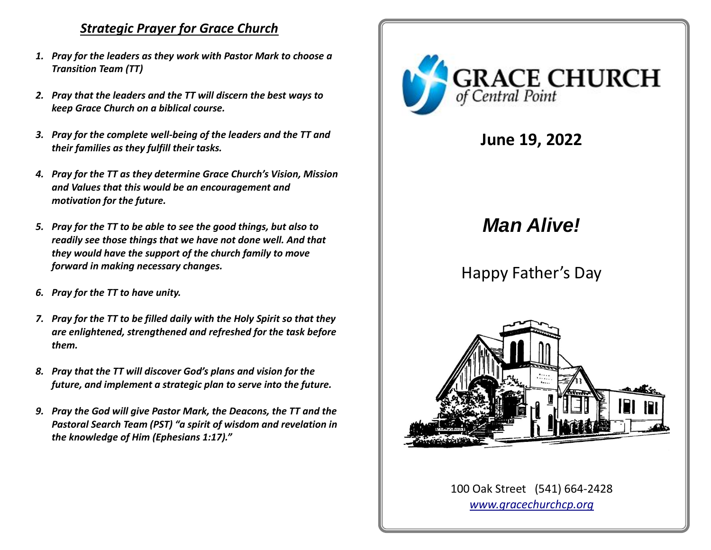### *Strategic Prayer for Grace Church*

- *1. Pray for the leaders as they work with Pastor Mark to choose a Transition Team (TT)*
- *2. Pray that the leaders and the TT will discern the best ways to keep Grace Church on a biblical course.*
- *3. Pray for the complete well-being of the leaders and the TT and their families as they fulfill their tasks.*
- *4. Pray for the TT as they determine Grace Church's Vision, Mission and Values that this would be an encouragement and motivation for the future.*
- *5. Pray for the TT to be able to see the good things, but also to readily see those things that we have not done well. And that they would have the support of the church family to move forward in making necessary changes.*
- *6. Pray for the TT to have unity.*
- *7. Pray for the TT to be filled daily with the Holy Spirit so that they are enlightened, strengthened and refreshed for the task before them.*
- *8. Pray that the TT will discover God's plans and vision for the future, and implement a strategic plan to serve into the future.*
- *9. Pray the God will give Pastor Mark, the Deacons, the TT and the Pastoral Search Team (PST) "a spirit of wisdom and revelation in the knowledge of Him (Ephesians 1:17)."*



**June 19, 2022**

# *Man Alive!*

# Happy Father's Day



100 Oak Street (541) 664-2428 *[www.gracechurchcp.org](http://www.gracechurchcp.org/)*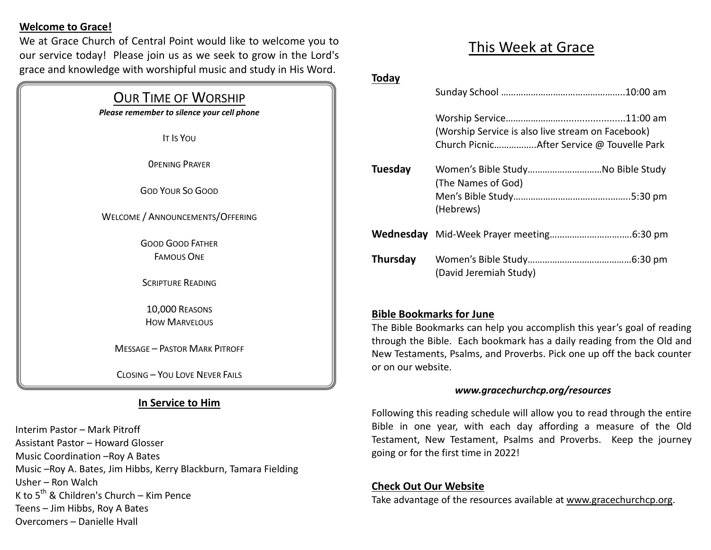#### **Welcome to Grace!**

We at Grace Church of Central Point would like to welcome you to our service today! Please join us as we seek to grow in the Lord's grace and knowledge with worshipful music and study in His Word.

| <b>OUR TIME OF WORSHIP</b><br>Please remember to silence your cell phone |  |
|--------------------------------------------------------------------------|--|
| <b>IT IS YOU</b>                                                         |  |
| <b>OPENING PRAYER</b>                                                    |  |
| <b>GOD YOUR SO GOOD</b>                                                  |  |
| WELCOME / ANNOUNCEMENTS/OFFERING                                         |  |
| <b>GOOD GOOD FATHER</b><br><b>FAMOUS ONF</b>                             |  |
| <b>SCRIPTURE READING</b>                                                 |  |
| 10,000 REASONS<br><b>HOW MARVELOUS</b>                                   |  |
| <b>MESSAGE – PASTOR MARK PITROFF</b>                                     |  |
| <b>CLOSING - YOU LOVE NEVER FAILS</b>                                    |  |

#### **In Service to Him**

Interim Pastor – Mark Pitroff Assistant Pastor – Howard Glosser Music Coordination –Roy A Bates Music –Roy A. Bates, Jim Hibbs, Kerry Blackburn, Tamara Fielding Usher – Ron Walch K to  $5^{th}$  & Children's Church – Kim Pence Teens – Jim Hibbs, Roy A Bates Overcomers – Danielle Hvall

## This Week at Grace

#### **Today**

|          | (Worship Service is also live stream on Facebook) |
|----------|---------------------------------------------------|
| Tuesday  | (The Names of God)<br>(Hebrews)                   |
|          |                                                   |
| Thursday | (David Jeremiah Study)                            |

#### **Bible Bookmarks for June**

The Bible Bookmarks can help you accomplish this year's goal of reading through the Bible. Each bookmark has a daily reading from the Old and New Testaments, Psalms, and Proverbs. Pick one up off the back counter or on our website.

#### *www.gracechurchcp.org/resources*

Following this reading schedule will allow you to read through the entire Bible in one year, with each day affording a measure of the Old Testament, New Testament, Psalms and Proverbs. Keep the journey going or for the first time in 2022!

#### **Check Out Our Website**

Take advantage of the resources available at www.gracechurchcp.org.